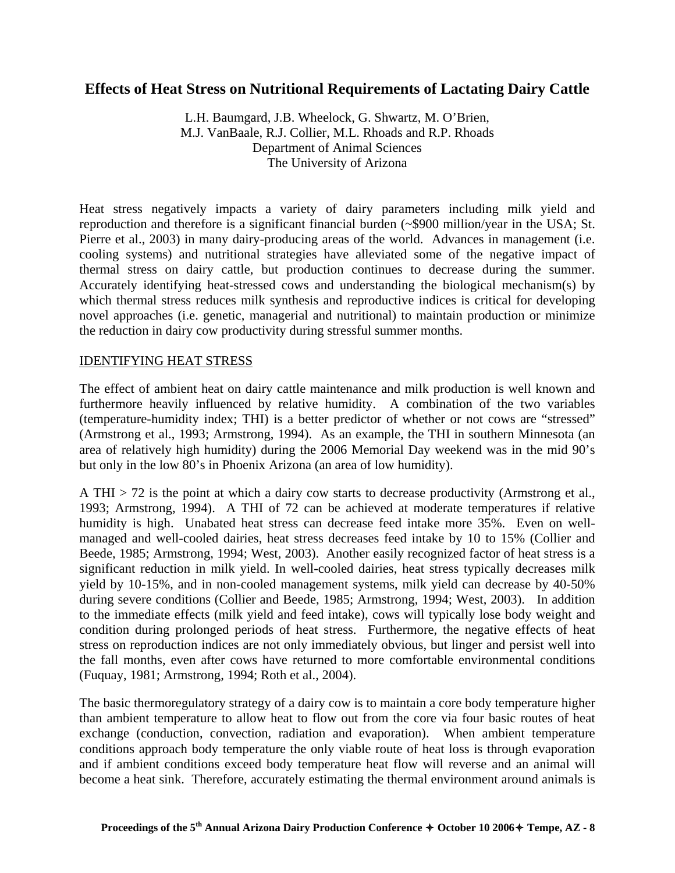# **Effects of Heat Stress on Nutritional Requirements of Lactating Dairy Cattle**

L.H. Baumgard, J.B. Wheelock, G. Shwartz, M. O'Brien, M.J. VanBaale, R.J. Collier, M.L. Rhoads and R.P. Rhoads Department of Animal Sciences The University of Arizona

Heat stress negatively impacts a variety of dairy parameters including milk yield and reproduction and therefore is a significant financial burden (~\$900 million/year in the USA; St. Pierre et al., 2003) in many dairy-producing areas of the world. Advances in management (i.e. cooling systems) and nutritional strategies have alleviated some of the negative impact of thermal stress on dairy cattle, but production continues to decrease during the summer. Accurately identifying heat-stressed cows and understanding the biological mechanism(s) by which thermal stress reduces milk synthesis and reproductive indices is critical for developing novel approaches (i.e. genetic, managerial and nutritional) to maintain production or minimize the reduction in dairy cow productivity during stressful summer months.

#### IDENTIFYING HEAT STRESS

The effect of ambient heat on dairy cattle maintenance and milk production is well known and furthermore heavily influenced by relative humidity. A combination of the two variables (temperature-humidity index; THI) is a better predictor of whether or not cows are "stressed" (Armstrong et al., 1993; Armstrong, 1994). As an example, the THI in southern Minnesota (an area of relatively high humidity) during the 2006 Memorial Day weekend was in the mid 90's but only in the low 80's in Phoenix Arizona (an area of low humidity).

A THI > 72 is the point at which a dairy cow starts to decrease productivity (Armstrong et al., 1993; Armstrong, 1994). A THI of 72 can be achieved at moderate temperatures if relative humidity is high. Unabated heat stress can decrease feed intake more 35%. Even on wellmanaged and well-cooled dairies, heat stress decreases feed intake by 10 to 15% (Collier and Beede, 1985; Armstrong, 1994; West, 2003). Another easily recognized factor of heat stress is a significant reduction in milk yield. In well-cooled dairies, heat stress typically decreases milk yield by 10-15%, and in non-cooled management systems, milk yield can decrease by 40-50% during severe conditions (Collier and Beede, 1985; Armstrong, 1994; West, 2003). In addition to the immediate effects (milk yield and feed intake), cows will typically lose body weight and condition during prolonged periods of heat stress. Furthermore, the negative effects of heat stress on reproduction indices are not only immediately obvious, but linger and persist well into the fall months, even after cows have returned to more comfortable environmental conditions (Fuquay, 1981; Armstrong, 1994; Roth et al., 2004).

The basic thermoregulatory strategy of a dairy cow is to maintain a core body temperature higher than ambient temperature to allow heat to flow out from the core via four basic routes of heat exchange (conduction, convection, radiation and evaporation). When ambient temperature conditions approach body temperature the only viable route of heat loss is through evaporation and if ambient conditions exceed body temperature heat flow will reverse and an animal will become a heat sink. Therefore, accurately estimating the thermal environment around animals is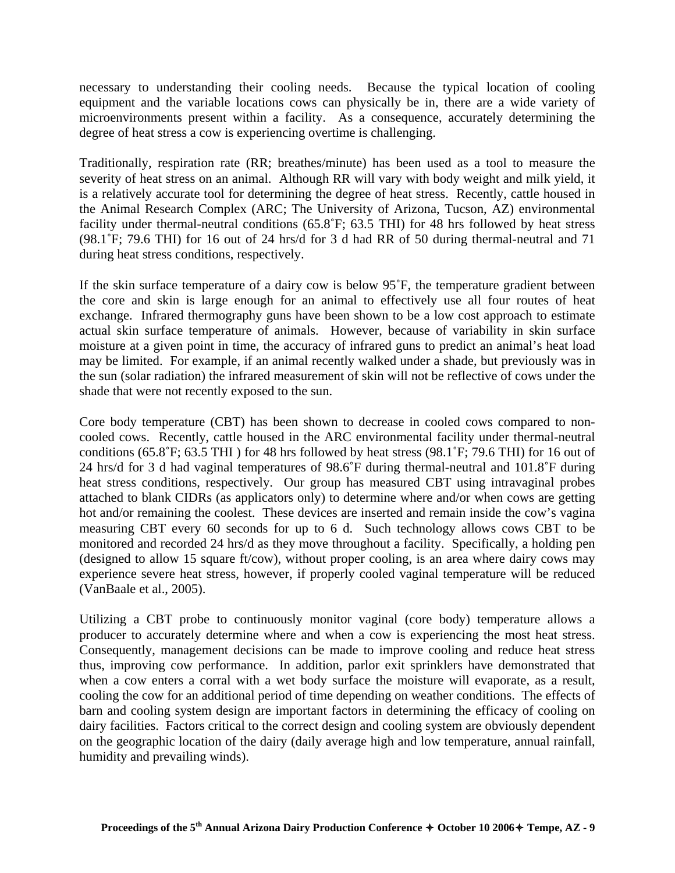necessary to understanding their cooling needs. Because the typical location of cooling equipment and the variable locations cows can physically be in, there are a wide variety of microenvironments present within a facility. As a consequence, accurately determining the degree of heat stress a cow is experiencing overtime is challenging.

Traditionally, respiration rate (RR; breathes/minute) has been used as a tool to measure the severity of heat stress on an animal. Although RR will vary with body weight and milk yield, it is a relatively accurate tool for determining the degree of heat stress. Recently, cattle housed in the Animal Research Complex (ARC; The University of Arizona, Tucson, AZ) environmental facility under thermal-neutral conditions (65.8˚F; 63.5 THI) for 48 hrs followed by heat stress (98.1˚F; 79.6 THI) for 16 out of 24 hrs/d for 3 d had RR of 50 during thermal-neutral and 71 during heat stress conditions, respectively.

If the skin surface temperature of a dairy cow is below 95˚F, the temperature gradient between the core and skin is large enough for an animal to effectively use all four routes of heat exchange. Infrared thermography guns have been shown to be a low cost approach to estimate actual skin surface temperature of animals. However, because of variability in skin surface moisture at a given point in time, the accuracy of infrared guns to predict an animal's heat load may be limited. For example, if an animal recently walked under a shade, but previously was in the sun (solar radiation) the infrared measurement of skin will not be reflective of cows under the shade that were not recently exposed to the sun.

Core body temperature (CBT) has been shown to decrease in cooled cows compared to noncooled cows. Recently, cattle housed in the ARC environmental facility under thermal-neutral conditions (65.8˚F; 63.5 THI ) for 48 hrs followed by heat stress (98.1˚F; 79.6 THI) for 16 out of 24 hrs/d for 3 d had vaginal temperatures of 98.6˚F during thermal-neutral and 101.8˚F during heat stress conditions, respectively. Our group has measured CBT using intravaginal probes attached to blank CIDRs (as applicators only) to determine where and/or when cows are getting hot and/or remaining the coolest. These devices are inserted and remain inside the cow's vagina measuring CBT every 60 seconds for up to 6 d. Such technology allows cows CBT to be monitored and recorded 24 hrs/d as they move throughout a facility. Specifically, a holding pen (designed to allow 15 square ft/cow), without proper cooling, is an area where dairy cows may experience severe heat stress, however, if properly cooled vaginal temperature will be reduced (VanBaale et al., 2005).

Utilizing a CBT probe to continuously monitor vaginal (core body) temperature allows a producer to accurately determine where and when a cow is experiencing the most heat stress. Consequently, management decisions can be made to improve cooling and reduce heat stress thus, improving cow performance. In addition, parlor exit sprinklers have demonstrated that when a cow enters a corral with a wet body surface the moisture will evaporate, as a result, cooling the cow for an additional period of time depending on weather conditions. The effects of barn and cooling system design are important factors in determining the efficacy of cooling on dairy facilities. Factors critical to the correct design and cooling system are obviously dependent on the geographic location of the dairy (daily average high and low temperature, annual rainfall, humidity and prevailing winds).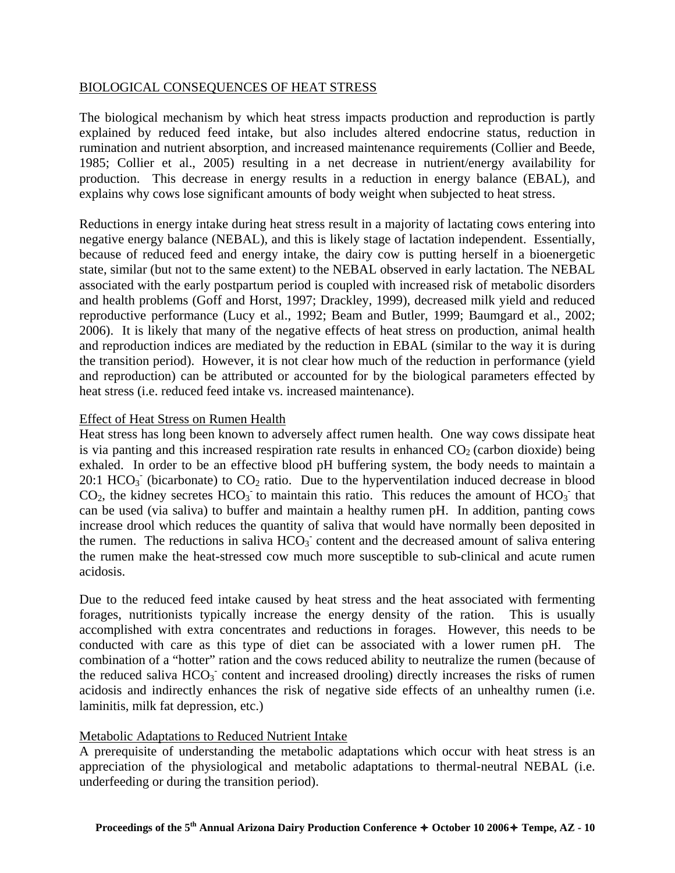### BIOLOGICAL CONSEQUENCES OF HEAT STRESS

The biological mechanism by which heat stress impacts production and reproduction is partly explained by reduced feed intake, but also includes altered endocrine status, reduction in rumination and nutrient absorption, and increased maintenance requirements (Collier and Beede, 1985; Collier et al., 2005) resulting in a net decrease in nutrient/energy availability for production. This decrease in energy results in a reduction in energy balance (EBAL), and explains why cows lose significant amounts of body weight when subjected to heat stress.

Reductions in energy intake during heat stress result in a majority of lactating cows entering into negative energy balance (NEBAL), and this is likely stage of lactation independent. Essentially, because of reduced feed and energy intake, the dairy cow is putting herself in a bioenergetic state, similar (but not to the same extent) to the NEBAL observed in early lactation. The NEBAL associated with the early postpartum period is coupled with increased risk of metabolic disorders and health problems (Goff and Horst, 1997; Drackley, 1999), decreased milk yield and reduced reproductive performance (Lucy et al., 1992; Beam and Butler, 1999; Baumgard et al., 2002; 2006). It is likely that many of the negative effects of heat stress on production, animal health and reproduction indices are mediated by the reduction in EBAL (similar to the way it is during the transition period). However, it is not clear how much of the reduction in performance (yield and reproduction) can be attributed or accounted for by the biological parameters effected by heat stress (i.e. reduced feed intake vs. increased maintenance).

# Effect of Heat Stress on Rumen Health

Heat stress has long been known to adversely affect rumen health. One way cows dissipate heat is via panting and this increased respiration rate results in enhanced  $CO<sub>2</sub>$  (carbon dioxide) being exhaled. In order to be an effective blood pH buffering system, the body needs to maintain a 20:1 HCO<sub>3</sub> (bicarbonate) to  $CO_2$  ratio. Due to the hyperventilation induced decrease in blood  $CO<sub>2</sub>$ , the kidney secretes  $HCO<sub>3</sub>$  to maintain this ratio. This reduces the amount of  $HCO<sub>3</sub>$  that can be used (via saliva) to buffer and maintain a healthy rumen pH. In addition, panting cows increase drool which reduces the quantity of saliva that would have normally been deposited in the rumen. The reductions in saliva  $HCO<sub>3</sub>$  content and the decreased amount of saliva entering the rumen make the heat-stressed cow much more susceptible to sub-clinical and acute rumen acidosis.

Due to the reduced feed intake caused by heat stress and the heat associated with fermenting forages, nutritionists typically increase the energy density of the ration. This is usually accomplished with extra concentrates and reductions in forages. However, this needs to be conducted with care as this type of diet can be associated with a lower rumen pH. The combination of a "hotter" ration and the cows reduced ability to neutralize the rumen (because of the reduced saliva  $HCO<sub>3</sub>$  content and increased drooling) directly increases the risks of rumen acidosis and indirectly enhances the risk of negative side effects of an unhealthy rumen (i.e. laminitis, milk fat depression, etc.)

# Metabolic Adaptations to Reduced Nutrient Intake

A prerequisite of understanding the metabolic adaptations which occur with heat stress is an appreciation of the physiological and metabolic adaptations to thermal-neutral NEBAL (i.e. underfeeding or during the transition period).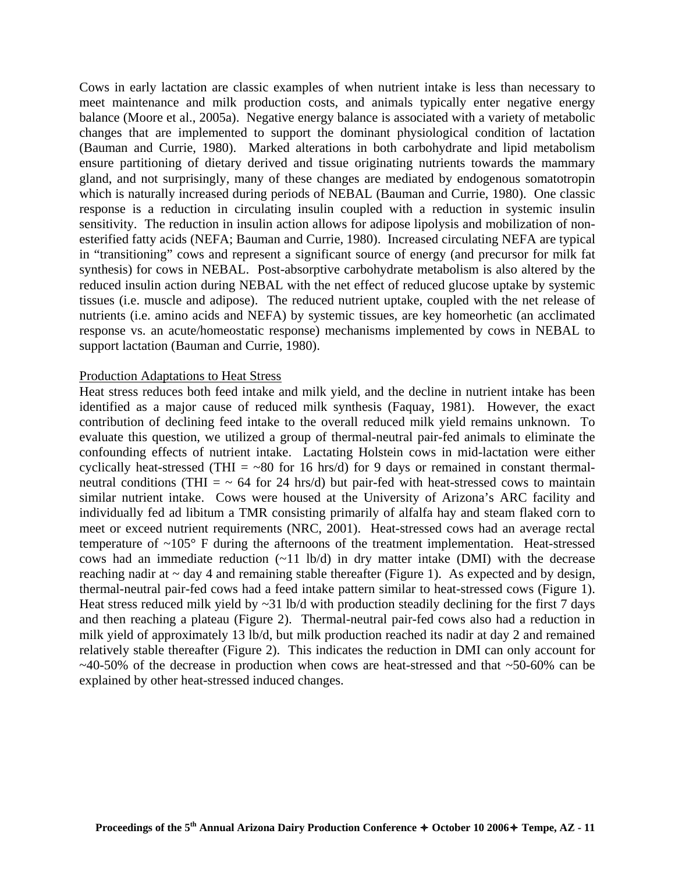Cows in early lactation are classic examples of when nutrient intake is less than necessary to meet maintenance and milk production costs, and animals typically enter negative energy balance (Moore et al., 2005a). Negative energy balance is associated with a variety of metabolic changes that are implemented to support the dominant physiological condition of lactation (Bauman and Currie, 1980). Marked alterations in both carbohydrate and lipid metabolism ensure partitioning of dietary derived and tissue originating nutrients towards the mammary gland, and not surprisingly, many of these changes are mediated by endogenous somatotropin which is naturally increased during periods of NEBAL (Bauman and Currie, 1980). One classic response is a reduction in circulating insulin coupled with a reduction in systemic insulin sensitivity. The reduction in insulin action allows for adipose lipolysis and mobilization of nonesterified fatty acids (NEFA; Bauman and Currie, 1980). Increased circulating NEFA are typical in "transitioning" cows and represent a significant source of energy (and precursor for milk fat synthesis) for cows in NEBAL. Post-absorptive carbohydrate metabolism is also altered by the reduced insulin action during NEBAL with the net effect of reduced glucose uptake by systemic tissues (i.e. muscle and adipose). The reduced nutrient uptake, coupled with the net release of nutrients (i.e. amino acids and NEFA) by systemic tissues, are key homeorhetic (an acclimated response vs. an acute/homeostatic response) mechanisms implemented by cows in NEBAL to support lactation (Bauman and Currie, 1980).

#### Production Adaptations to Heat Stress

Heat stress reduces both feed intake and milk yield, and the decline in nutrient intake has been identified as a major cause of reduced milk synthesis (Faquay, 1981). However, the exact contribution of declining feed intake to the overall reduced milk yield remains unknown. To evaluate this question, we utilized a group of thermal-neutral pair-fed animals to eliminate the confounding effects of nutrient intake. Lactating Holstein cows in mid-lactation were either cyclically heat-stressed (THI =  $\sim 80$  for 16 hrs/d) for 9 days or remained in constant thermalneutral conditions (THI  $=$   $\sim$  64 for 24 hrs/d) but pair-fed with heat-stressed cows to maintain similar nutrient intake. Cows were housed at the University of Arizona's ARC facility and individually fed ad libitum a TMR consisting primarily of alfalfa hay and steam flaked corn to meet or exceed nutrient requirements (NRC, 2001). Heat-stressed cows had an average rectal temperature of  $\sim 105^{\circ}$  F during the afternoons of the treatment implementation. Heat-stressed cows had an immediate reduction  $(-11 \text{ lb/d})$  in dry matter intake (DMI) with the decrease reaching nadir at  $\sim$  day 4 and remaining stable thereafter (Figure 1). As expected and by design, thermal-neutral pair-fed cows had a feed intake pattern similar to heat-stressed cows (Figure 1). Heat stress reduced milk yield by ~31 lb/d with production steadily declining for the first 7 days and then reaching a plateau (Figure 2). Thermal-neutral pair-fed cows also had a reduction in milk yield of approximately 13 lb/d, but milk production reached its nadir at day 2 and remained relatively stable thereafter (Figure 2). This indicates the reduction in DMI can only account for  $\sim$ 40-50% of the decrease in production when cows are heat-stressed and that  $\sim$ 50-60% can be explained by other heat-stressed induced changes.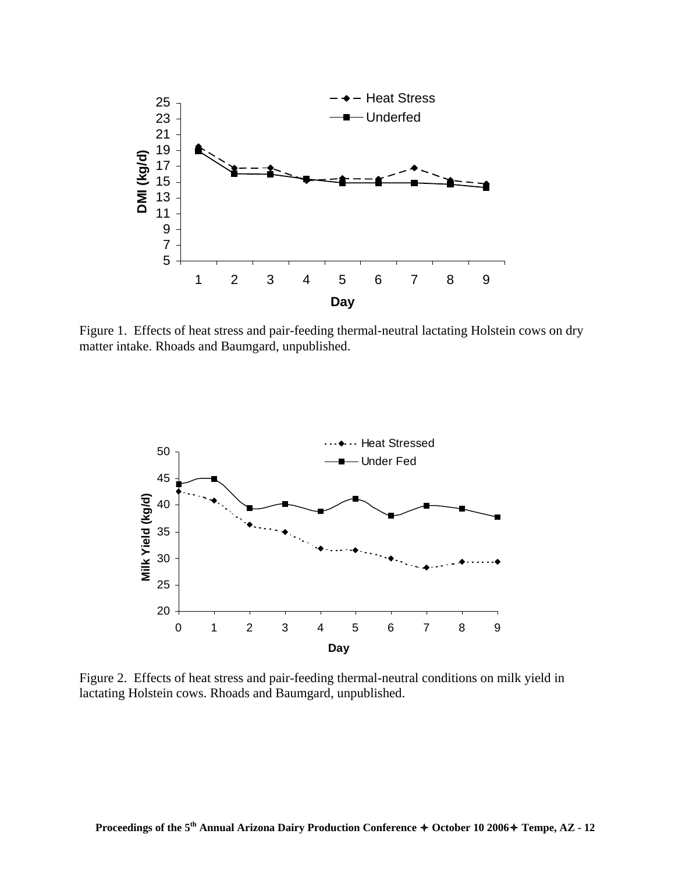

Figure 1. Effects of heat stress and pair-feeding thermal-neutral lactating Holstein cows on dry matter intake. Rhoads and Baumgard, unpublished.



Figure 2. Effects of heat stress and pair-feeding thermal-neutral conditions on milk yield in lactating Holstein cows. Rhoads and Baumgard, unpublished.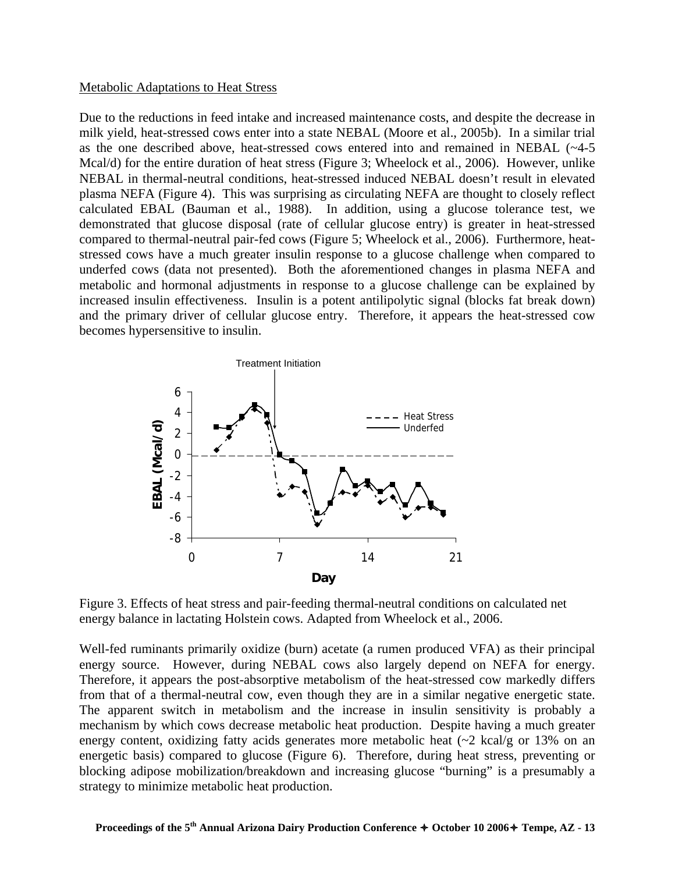#### Metabolic Adaptations to Heat Stress

Due to the reductions in feed intake and increased maintenance costs, and despite the decrease in milk yield, heat-stressed cows enter into a state NEBAL (Moore et al., 2005b). In a similar trial as the one described above, heat-stressed cows entered into and remained in NEBAL (~4-5 Mcal/d) for the entire duration of heat stress (Figure 3; Wheelock et al., 2006). However, unlike NEBAL in thermal-neutral conditions, heat-stressed induced NEBAL doesn't result in elevated plasma NEFA (Figure 4). This was surprising as circulating NEFA are thought to closely reflect calculated EBAL (Bauman et al., 1988). In addition, using a glucose tolerance test, we demonstrated that glucose disposal (rate of cellular glucose entry) is greater in heat-stressed compared to thermal-neutral pair-fed cows (Figure 5; Wheelock et al., 2006). Furthermore, heatstressed cows have a much greater insulin response to a glucose challenge when compared to underfed cows (data not presented). Both the aforementioned changes in plasma NEFA and metabolic and hormonal adjustments in response to a glucose challenge can be explained by increased insulin effectiveness. Insulin is a potent antilipolytic signal (blocks fat break down) and the primary driver of cellular glucose entry. Therefore, it appears the heat-stressed cow becomes hypersensitive to insulin.



Figure 3. Effects of heat stress and pair-feeding thermal-neutral conditions on calculated net energy balance in lactating Holstein cows. Adapted from Wheelock et al., 2006.

Well-fed ruminants primarily oxidize (burn) acetate (a rumen produced VFA) as their principal energy source. However, during NEBAL cows also largely depend on NEFA for energy. Therefore, it appears the post-absorptive metabolism of the heat-stressed cow markedly differs from that of a thermal-neutral cow, even though they are in a similar negative energetic state. The apparent switch in metabolism and the increase in insulin sensitivity is probably a mechanism by which cows decrease metabolic heat production. Despite having a much greater energy content, oxidizing fatty acids generates more metabolic heat  $(\sim 2 \text{ kcal/g or } 13\% \text{ on an } 11)$ energetic basis) compared to glucose (Figure 6). Therefore, during heat stress, preventing or blocking adipose mobilization/breakdown and increasing glucose "burning" is a presumably a strategy to minimize metabolic heat production.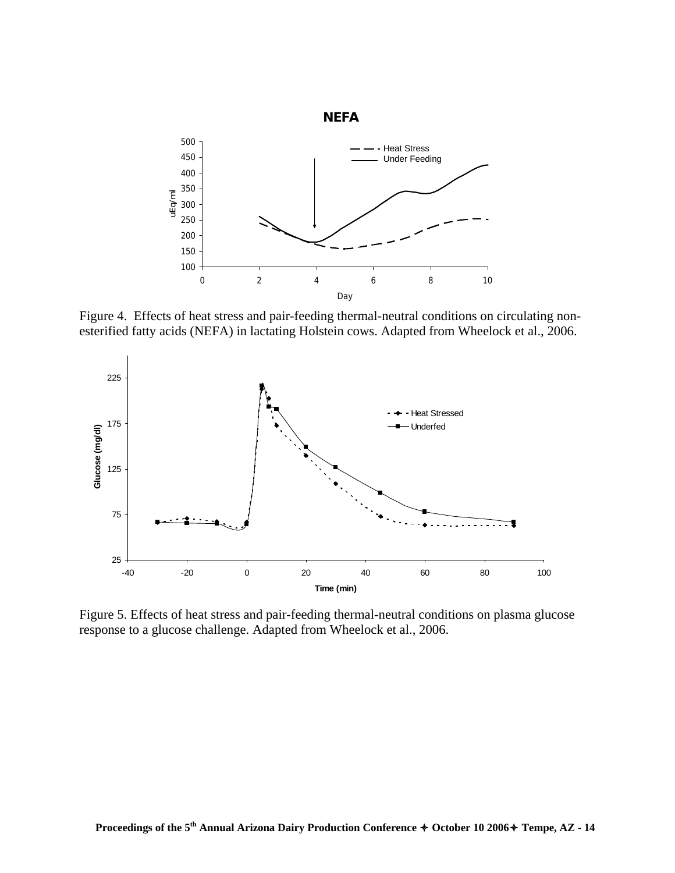

Figure 4. Effects of heat stress and pair-feeding thermal-neutral conditions on circulating nonesterified fatty acids (NEFA) in lactating Holstein cows. Adapted from Wheelock et al., 2006.



Figure 5. Effects of heat stress and pair-feeding thermal-neutral conditions on plasma glucose response to a glucose challenge. Adapted from Wheelock et al., 2006.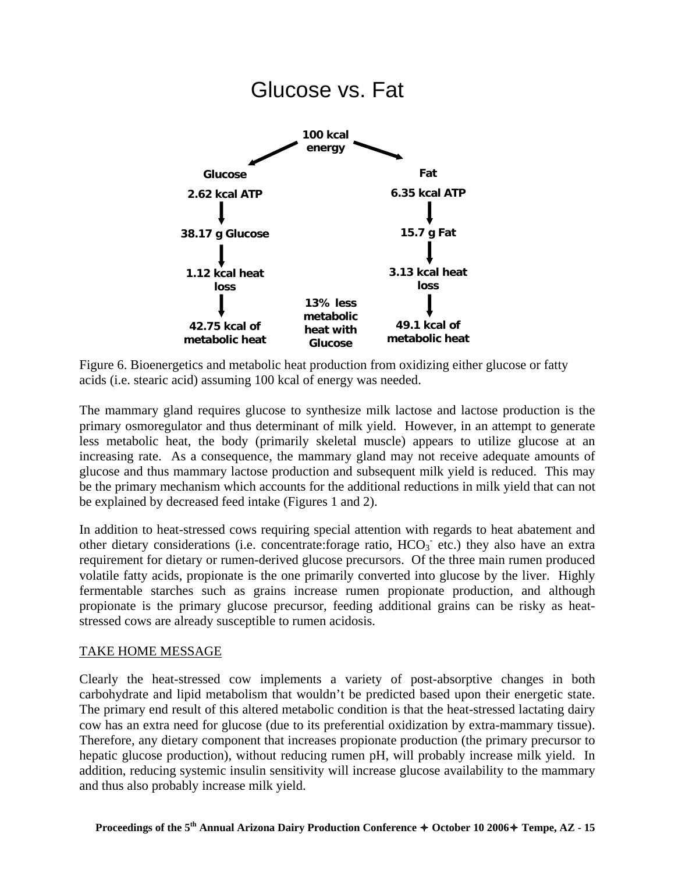

Figure 6. Bioenergetics and metabolic heat production from oxidizing either glucose or fatty acids (i.e. stearic acid) assuming 100 kcal of energy was needed.

The mammary gland requires glucose to synthesize milk lactose and lactose production is the primary osmoregulator and thus determinant of milk yield. However, in an attempt to generate less metabolic heat, the body (primarily skeletal muscle) appears to utilize glucose at an increasing rate. As a consequence, the mammary gland may not receive adequate amounts of glucose and thus mammary lactose production and subsequent milk yield is reduced. This may be the primary mechanism which accounts for the additional reductions in milk yield that can not be explained by decreased feed intake (Figures 1 and 2).

In addition to heat-stressed cows requiring special attention with regards to heat abatement and other dietary considerations (i.e. concentrate:forage ratio, HCO<sub>3</sub> etc.) they also have an extra requirement for dietary or rumen-derived glucose precursors. Of the three main rumen produced volatile fatty acids, propionate is the one primarily converted into glucose by the liver. Highly fermentable starches such as grains increase rumen propionate production, and although propionate is the primary glucose precursor, feeding additional grains can be risky as heatstressed cows are already susceptible to rumen acidosis.

# TAKE HOME MESSAGE

Clearly the heat-stressed cow implements a variety of post-absorptive changes in both carbohydrate and lipid metabolism that wouldn't be predicted based upon their energetic state. The primary end result of this altered metabolic condition is that the heat-stressed lactating dairy cow has an extra need for glucose (due to its preferential oxidization by extra-mammary tissue). Therefore, any dietary component that increases propionate production (the primary precursor to hepatic glucose production), without reducing rumen pH, will probably increase milk yield. In addition, reducing systemic insulin sensitivity will increase glucose availability to the mammary and thus also probably increase milk yield.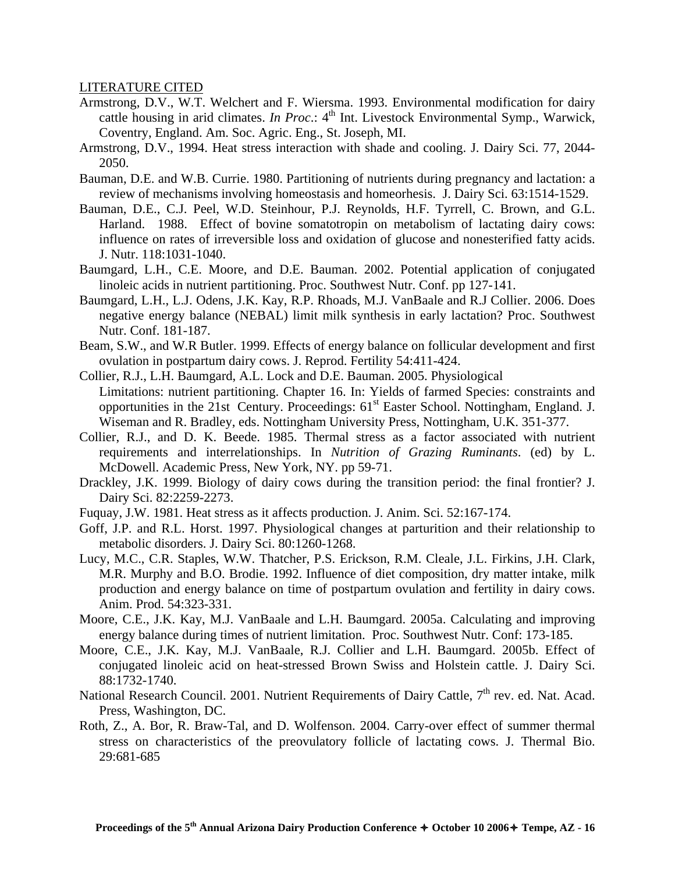### LITERATURE CITED

- Armstrong, D.V., W.T. Welchert and F. Wiersma. 1993. Environmental modification for dairy cattle housing in arid climates. *In Proc*.: 4<sup>th</sup> Int. Livestock Environmental Symp., Warwick, Coventry, England. Am. Soc. Agric. Eng., St. Joseph, MI.
- Armstrong, D.V., 1994. Heat stress interaction with shade and cooling. J. Dairy Sci. 77, 2044- 2050.
- Bauman, D.E. and W.B. Currie. 1980. Partitioning of nutrients during pregnancy and lactation: a review of mechanisms involving homeostasis and homeorhesis. J. Dairy Sci. 63:1514-1529.
- Bauman, D.E., C.J. Peel, W.D. Steinhour, P.J. Reynolds, H.F. Tyrrell, C. Brown, and G.L. Harland. 1988. Effect of bovine somatotropin on metabolism of lactating dairy cows: influence on rates of irreversible loss and oxidation of glucose and nonesterified fatty acids. J. Nutr. 118:1031-1040.
- Baumgard, L.H., C.E. Moore, and D.E. Bauman. 2002. Potential application of conjugated linoleic acids in nutrient partitioning. Proc. Southwest Nutr. Conf. pp 127-141.
- Baumgard, L.H., L.J. Odens, J.K. Kay, R.P. Rhoads, M.J. VanBaale and R.J Collier. 2006. Does negative energy balance (NEBAL) limit milk synthesis in early lactation? Proc. Southwest Nutr. Conf. 181-187.
- Beam, S.W., and W.R Butler. 1999. Effects of energy balance on follicular development and first ovulation in postpartum dairy cows. J. Reprod. Fertility 54:411-424.
- Collier, R.J., L.H. Baumgard, A.L. Lock and D.E. Bauman. 2005. Physiological Limitations: nutrient partitioning. Chapter 16. In: Yields of farmed Species: constraints and opportunities in the 21st Century. Proceedings:  $61<sup>st</sup>$  Easter School. Nottingham, England. J. Wiseman and R. Bradley, eds. Nottingham University Press, Nottingham, U.K. 351-377.
- Collier, R.J., and D. K. Beede. 1985. Thermal stress as a factor associated with nutrient requirements and interrelationships. In *Nutrition of Grazing Ruminants*. (ed) by L. McDowell. Academic Press, New York, NY. pp 59-71.
- Drackley, J.K. 1999. Biology of dairy cows during the transition period: the final frontier? J. Dairy Sci. 82:2259-2273.
- Fuquay, J.W. 1981. Heat stress as it affects production. J. Anim. Sci. 52:167-174.
- Goff, J.P. and R.L. Horst. 1997. Physiological changes at parturition and their relationship to metabolic disorders. J. Dairy Sci. 80:1260-1268.
- Lucy, M.C., C.R. Staples, W.W. Thatcher, P.S. Erickson, R.M. Cleale, J.L. Firkins, J.H. Clark, M.R. Murphy and B.O. Brodie. 1992. Influence of diet composition, dry matter intake, milk production and energy balance on time of postpartum ovulation and fertility in dairy cows. Anim. Prod. 54:323-331.
- Moore, C.E., J.K. Kay, M.J. VanBaale and L.H. Baumgard. 2005a. Calculating and improving energy balance during times of nutrient limitation. Proc. Southwest Nutr. Conf: 173-185.
- Moore, C.E., J.K. Kay, M.J. VanBaale, R.J. Collier and L.H. Baumgard. 2005b. Effect of conjugated linoleic acid on heat-stressed Brown Swiss and Holstein cattle. J. Dairy Sci. 88:1732-1740.
- National Research Council. 2001. Nutrient Requirements of Dairy Cattle,  $7<sup>th</sup>$  rev. ed. Nat. Acad. Press, Washington, DC.
- Roth, Z., A. Bor, R. Braw-Tal, and D. Wolfenson. 2004. Carry-over effect of summer thermal stress on characteristics of the preovulatory follicle of lactating cows. J. Thermal Bio. 29:681-685